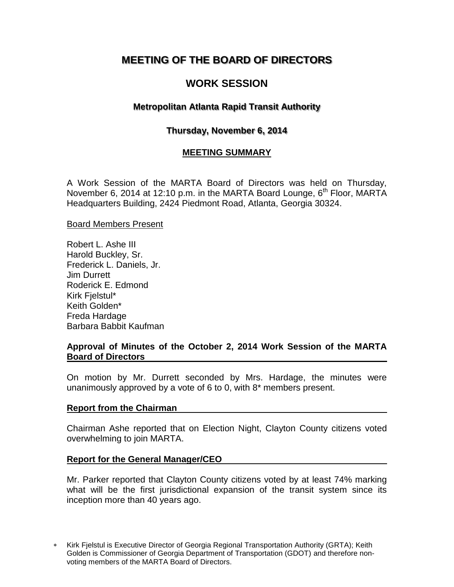# **MEETING OF THE BOARD OF DIRECTORS**

# **WORK SESSION**

## **Metropolitan Atlanta Rapid Transit Authority**

## **Thursday, November 6, 2014**

## **MEETING SUMMARY**

A Work Session of the MARTA Board of Directors was held on Thursday, November 6, 2014 at 12:10 p.m. in the MARTA Board Lounge,  $6<sup>th</sup>$  Floor, MARTA Headquarters Building, 2424 Piedmont Road, Atlanta, Georgia 30324.

#### Board Members Present

Robert L. Ashe III Harold Buckley, Sr. Frederick L. Daniels, Jr. Jim Durrett Roderick E. Edmond Kirk Fjelstul\* Keith Golden\* Freda Hardage Barbara Babbit Kaufman

### **Approval of Minutes of the October 2, 2014 Work Session of the MARTA Board of Directors**

On motion by Mr. Durrett seconded by Mrs. Hardage, the minutes were unanimously approved by a vote of 6 to 0, with 8\* members present.

#### **Report from the Chairman**

Chairman Ashe reported that on Election Night, Clayton County citizens voted overwhelming to join MARTA.

#### **Report for the General Manager/CEO**

Mr. Parker reported that Clayton County citizens voted by at least 74% marking what will be the first jurisdictional expansion of the transit system since its inception more than 40 years ago.

Kirk Fjelstul is Executive Director of Georgia Regional Transportation Authority (GRTA); Keith Golden is Commissioner of Georgia Department of Transportation (GDOT) and therefore nonvoting members of the MARTA Board of Directors.